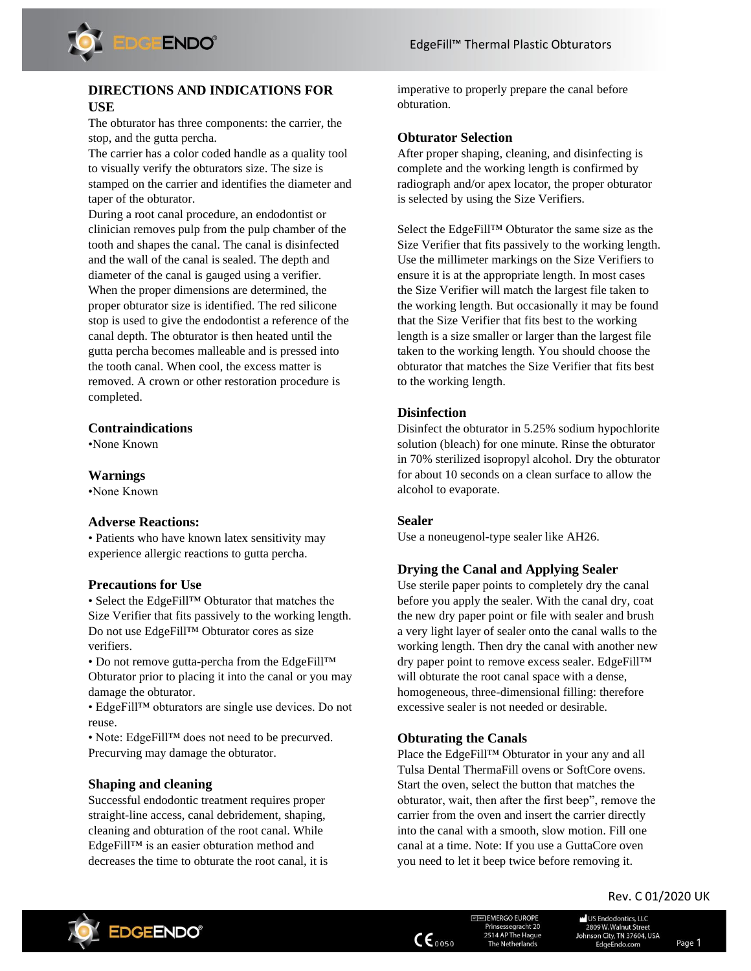

## **DIRECTIONS AND INDICATIONS FOR USE**

The obturator has three components: the carrier, the stop, and the gutta percha.

The carrier has a color coded handle as a quality tool to visually verify the obturators size. The size is stamped on the carrier and identifies the diameter and taper of the obturator.

During a root canal procedure, an endodontist or clinician removes pulp from the pulp chamber of the tooth and shapes the canal. The canal is disinfected and the wall of the canal is sealed. The depth and diameter of the canal is gauged using a verifier. When the proper dimensions are determined, the proper obturator size is identified. The red silicone stop is used to give the endodontist a reference of the canal depth. The obturator is then heated until the gutta percha becomes malleable and is pressed into the tooth canal. When cool, the excess matter is removed. A crown or other restoration procedure is completed.

### **Contraindications**

•None Known

#### **Warnings**

•None Known

#### **Adverse Reactions:**

• Patients who have known latex sensitivity may experience allergic reactions to gutta percha.

#### **Precautions for Use**

• Select the EdgeFill™ Obturator that matches the Size Verifier that fits passively to the working length. Do not use EdgeFill™ Obturator cores as size verifiers.

• Do not remove gutta-percha from the EdgeFill<sup>™</sup> Obturator prior to placing it into the canal or you may damage the obturator.

• EdgeFill™ obturators are single use devices. Do not reuse.

• Note: EdgeFill<sup>™</sup> does not need to be precurved. Precurving may damage the obturator.

### **Shaping and cleaning**

Successful endodontic treatment requires proper straight-line access, canal debridement, shaping, cleaning and obturation of the root canal. While EdgeFill™ is an easier obturation method and decreases the time to obturate the root canal, it is imperative to properly prepare the canal before obturation.

#### **Obturator Selection**

After proper shaping, cleaning, and disinfecting is complete and the working length is confirmed by radiograph and/or apex locator, the proper obturator is selected by using the Size Verifiers.

Select the EdgeFill™ Obturator the same size as the Size Verifier that fits passively to the working length. Use the millimeter markings on the Size Verifiers to ensure it is at the appropriate length. In most cases the Size Verifier will match the largest file taken to the working length. But occasionally it may be found that the Size Verifier that fits best to the working length is a size smaller or larger than the largest file taken to the working length. You should choose the obturator that matches the Size Verifier that fits best to the working length.

#### **Disinfection**

Disinfect the obturator in 5.25% sodium hypochlorite solution (bleach) for one minute. Rinse the obturator in 70% sterilized isopropyl alcohol. Dry the obturator for about 10 seconds on a clean surface to allow the alcohol to evaporate.

#### **Sealer**

Use a noneugenol-type sealer like AH26.

#### **Drying the Canal and Applying Sealer**

Use sterile paper points to completely dry the canal before you apply the sealer. With the canal dry, coat the new dry paper point or file with sealer and brush a very light layer of sealer onto the canal walls to the working length. Then dry the canal with another new dry paper point to remove excess sealer. EdgeFill™ will obturate the root canal space with a dense, homogeneous, three-dimensional filling: therefore excessive sealer is not needed or desirable.

### **Obturating the Canals**

Place the EdgeFill™ Obturator in your any and all Tulsa Dental ThermaFill ovens or SoftCore ovens. Start the oven, select the button that matches the obturator, wait, then after the first beep", remove the carrier from the oven and insert the carrier directly into the canal with a smooth, slow motion. Fill one canal at a time. Note: If you use a GuttaCore oven you need to let it beep twice before removing it.

# Rev. C 01/2020 UK



 $\mathsf{CE}_{0050}$ 

**<b>Ecorean** EMERGO EUROPE Prinsessegracht 20 2514 AP The Hague The Netherlands